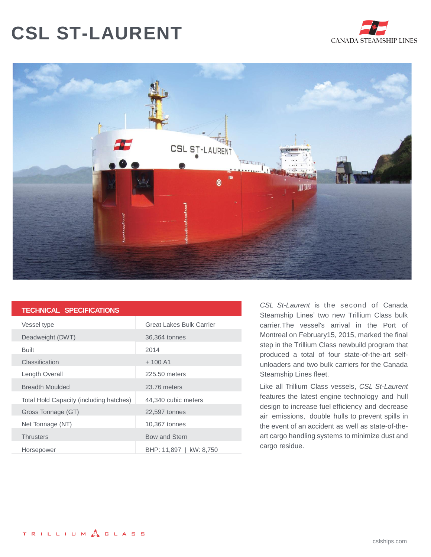## **CSL ST-LAURENT**





| <b>TECHNICAL SPECIFICATIONS</b> |  |
|---------------------------------|--|
|                                 |  |

| Vessel type                             | <b>Great Lakes Bulk Carrier</b> |
|-----------------------------------------|---------------------------------|
| Deadweight (DWT)                        | 36,364 tonnes                   |
| <b>Built</b>                            | 2014                            |
| Classification                          | $+100A1$                        |
| Length Overall                          | 225.50 meters                   |
| <b>Breadth Moulded</b>                  | 23.76 meters                    |
| Total Hold Capacity (including hatches) | 44,340 cubic meters             |
| Gross Tonnage (GT)                      | 22,597 tonnes                   |
| Net Tonnage (NT)                        | 10,367 tonnes                   |
| <b>Thrusters</b>                        | Bow and Stern                   |
| Horsepower                              | BHP: 11,897   kW: 8,750         |

*CSL St-Laurent* is the second of Canada Steamship Lines' two new Trillium Class bulk carrier.The vessel's arrival in the Port of Montreal on February15, 2015, marked the final step in the Trillium Class newbuild program that produced a total of four state-of-the-art selfunloaders and two bulk carriers for the Canada Steamship Lines fleet.

Like all Trillium Class vessels, *CSL St-Laurent* features the latest engine technology and hull design to increase fuel efficiency and decrease air emissions, double hulls to prevent spills in the event of an accident as well as state-of-theart cargo handling systems to minimize dust and cargo residue.